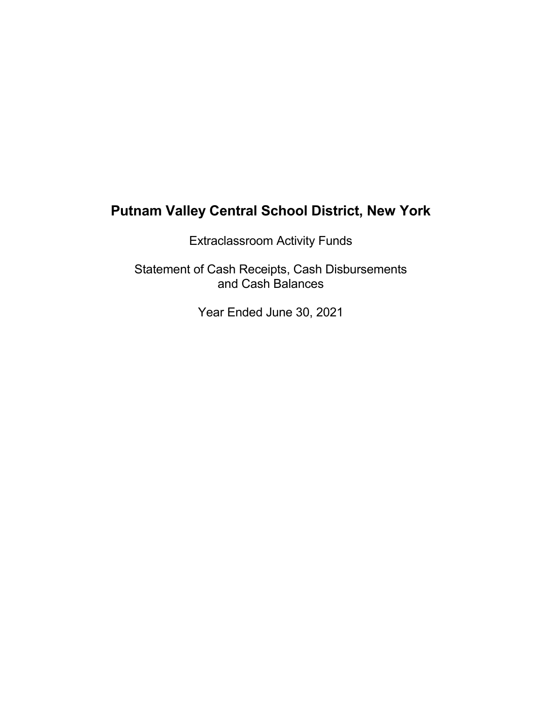# **Putnam Valley Central School District, New York**

Extraclassroom Activity Funds

Statement of Cash Receipts, Cash Disbursements and Cash Balances

Year Ended June 30, 2021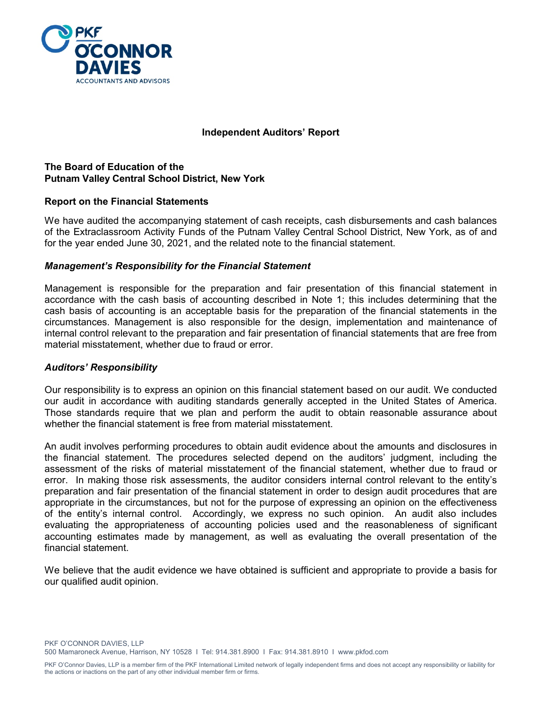

#### **Independent Auditors' Report**

## **The Board of Education of the Putnam Valley Central School District, New York**

#### **Report on the Financial Statements**

We have audited the accompanying statement of cash receipts, cash disbursements and cash balances of the Extraclassroom Activity Funds of the Putnam Valley Central School District, New York, as of and for the year ended June 30, 2021, and the related note to the financial statement.

#### *Management's Responsibility for the Financial Statement*

Management is responsible for the preparation and fair presentation of this financial statement in accordance with the cash basis of accounting described in Note 1; this includes determining that the cash basis of accounting is an acceptable basis for the preparation of the financial statements in the circumstances. Management is also responsible for the design, implementation and maintenance of internal control relevant to the preparation and fair presentation of financial statements that are free from material misstatement, whether due to fraud or error.

#### *Auditors' Responsibility*

Our responsibility is to express an opinion on this financial statement based on our audit. We conducted our audit in accordance with auditing standards generally accepted in the United States of America. Those standards require that we plan and perform the audit to obtain reasonable assurance about whether the financial statement is free from material misstatement.

An audit involves performing procedures to obtain audit evidence about the amounts and disclosures in the financial statement. The procedures selected depend on the auditors' judgment, including the assessment of the risks of material misstatement of the financial statement, whether due to fraud or error. In making those risk assessments, the auditor considers internal control relevant to the entity's preparation and fair presentation of the financial statement in order to design audit procedures that are appropriate in the circumstances, but not for the purpose of expressing an opinion on the effectiveness of the entity's internal control. Accordingly, we express no such opinion. An audit also includes evaluating the appropriateness of accounting policies used and the reasonableness of significant accounting estimates made by management, as well as evaluating the overall presentation of the financial statement.

We believe that the audit evidence we have obtained is sufficient and appropriate to provide a basis for our qualified audit opinion.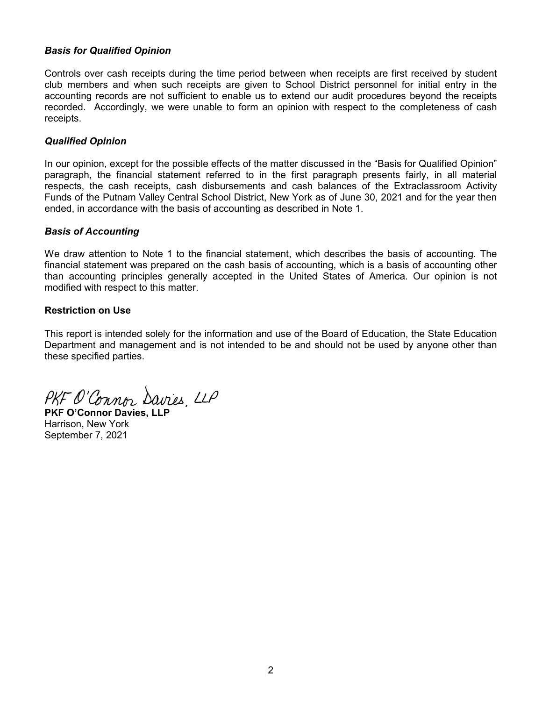#### *Basis for Qualified Opinion*

Controls over cash receipts during the time period between when receipts are first received by student club members and when such receipts are given to School District personnel for initial entry in the accounting records are not sufficient to enable us to extend our audit procedures beyond the receipts recorded. Accordingly, we were unable to form an opinion with respect to the completeness of cash receipts.

#### *Qualified Opinion*

In our opinion, except for the possible effects of the matter discussed in the "Basis for Qualified Opinion" paragraph, the financial statement referred to in the first paragraph presents fairly, in all material respects, the cash receipts, cash disbursements and cash balances of the Extraclassroom Activity Funds of the Putnam Valley Central School District, New York as of June 30, 2021 and for the year then ended, in accordance with the basis of accounting as described in Note 1.

#### *Basis of Accounting*

We draw attention to Note 1 to the financial statement, which describes the basis of accounting. The financial statement was prepared on the cash basis of accounting, which is a basis of accounting other than accounting principles generally accepted in the United States of America. Our opinion is not modified with respect to this matter.

#### **Restriction on Use**

This report is intended solely for the information and use of the Board of Education, the State Education Department and management and is not intended to be and should not be used by anyone other than these specified parties.

PKF O'Connor Davies, LLP

**PKF O'Connor Davies, LLP** Harrison, New York September 7, 2021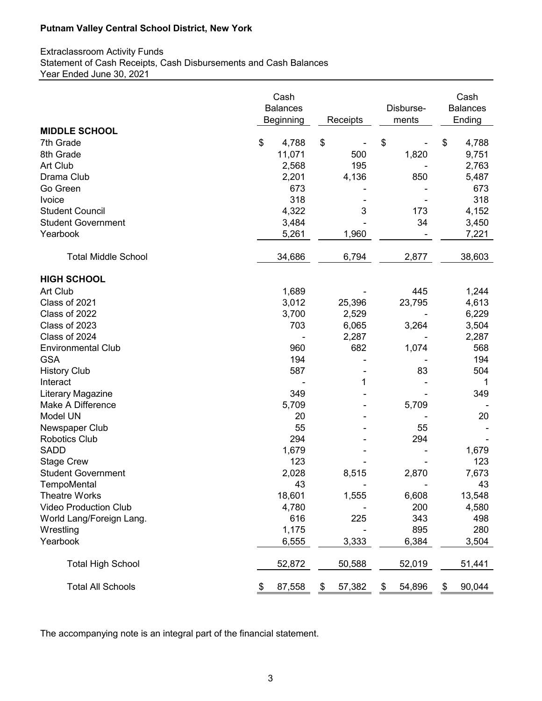## **Putnam Valley Central School District, New York**

#### Extraclassroom Activity Funds Statement of Cash Receipts, Cash Disbursements and Cash Balances Year Ended June 30, 2021

|                              | Cash<br><b>Balances</b><br><b>Beginning</b><br>Receipts |    | Disburse-<br>ments |    | Cash<br><b>Balances</b><br>Ending |    |        |
|------------------------------|---------------------------------------------------------|----|--------------------|----|-----------------------------------|----|--------|
| <b>MIDDLE SCHOOL</b>         |                                                         |    |                    |    |                                   |    |        |
| 7th Grade                    | \$<br>4,788                                             | \$ |                    | \$ |                                   | \$ | 4,788  |
| 8th Grade                    | 11,071                                                  |    | 500                |    | 1,820                             |    | 9,751  |
| Art Club                     | 2,568                                                   |    | 195                |    |                                   |    | 2,763  |
| Drama Club                   | 2,201                                                   |    | 4,136              |    | 850                               |    | 5,487  |
| Go Green                     | 673                                                     |    |                    |    |                                   |    | 673    |
| Ivoice                       | 318                                                     |    |                    |    |                                   |    | 318    |
| <b>Student Council</b>       | 4,322                                                   |    | 3                  |    | 173                               |    | 4,152  |
| <b>Student Government</b>    | 3,484                                                   |    |                    |    | 34                                |    | 3,450  |
| Yearbook                     | 5,261                                                   |    | 1,960              |    |                                   |    | 7,221  |
| <b>Total Middle School</b>   | 34,686                                                  |    | 6,794              |    | 2,877                             |    | 38,603 |
| <b>HIGH SCHOOL</b>           |                                                         |    |                    |    |                                   |    |        |
| Art Club                     | 1,689                                                   |    |                    |    | 445                               |    | 1,244  |
| Class of 2021                | 3,012                                                   |    | 25,396             |    | 23,795                            |    | 4,613  |
| Class of 2022                | 3,700                                                   |    | 2,529              |    |                                   |    | 6,229  |
| Class of 2023                | 703                                                     |    | 6,065              |    | 3,264                             |    | 3,504  |
| Class of 2024                |                                                         |    | 2,287              |    |                                   |    | 2,287  |
| <b>Environmental Club</b>    | 960                                                     |    | 682                |    | 1,074                             |    | 568    |
| <b>GSA</b>                   | 194                                                     |    |                    |    |                                   |    | 194    |
| <b>History Club</b>          | 587                                                     |    |                    |    | 83                                |    | 504    |
| Interact                     |                                                         |    | 1                  |    |                                   |    | 1      |
| Literary Magazine            | 349                                                     |    |                    |    |                                   |    | 349    |
| Make A Difference            | 5,709                                                   |    |                    |    | 5,709                             |    |        |
| Model UN                     | 20                                                      |    |                    |    |                                   |    | 20     |
| Newspaper Club               | 55                                                      |    |                    |    | 55                                |    |        |
| <b>Robotics Club</b>         | 294                                                     |    |                    |    | 294                               |    |        |
| <b>SADD</b>                  | 1,679                                                   |    |                    |    |                                   |    | 1,679  |
| <b>Stage Crew</b>            | 123                                                     |    |                    |    |                                   |    | 123    |
| <b>Student Government</b>    | 2,028                                                   |    | 8,515              |    | 2,870                             |    | 7,673  |
| TempoMental                  | 43                                                      |    |                    |    |                                   |    | 43     |
| <b>Theatre Works</b>         | 18,601                                                  |    | 1,555              |    | 6,608                             |    | 13,548 |
| <b>Video Production Club</b> | 4,780                                                   |    |                    |    | 200                               |    | 4,580  |
| World Lang/Foreign Lang.     | 616                                                     |    | 225                |    | 343                               |    | 498    |
| Wrestling                    | 1,175                                                   |    |                    |    | 895                               |    | 280    |
| Yearbook                     | 6,555                                                   |    | 3,333              |    | 6,384                             |    | 3,504  |
| <b>Total High School</b>     | 52,872                                                  |    | 50,588             |    | 52,019                            |    | 51,441 |
| <b>Total All Schools</b>     | \$<br>87,558                                            | \$ | 57,382             | \$ | 54,896                            |    | 90,044 |

The accompanying note is an integral part of the financial statement.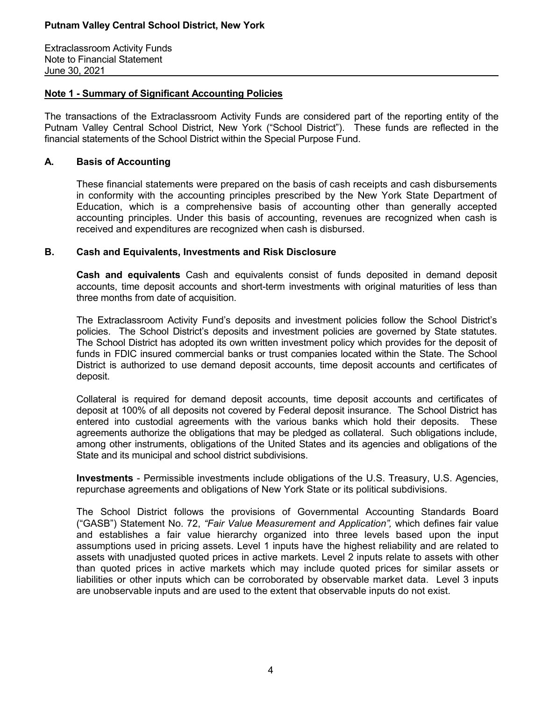Extraclassroom Activity Funds Note to Financial Statement June 30, 2021

## **Note 1 - Summary of Significant Accounting Policies**

The transactions of the Extraclassroom Activity Funds are considered part of the reporting entity of the Putnam Valley Central School District, New York ("School District"). These funds are reflected in the financial statements of the School District within the Special Purpose Fund.

## **A. Basis of Accounting**

These financial statements were prepared on the basis of cash receipts and cash disbursements in conformity with the accounting principles prescribed by the New York State Department of Education, which is a comprehensive basis of accounting other than generally accepted accounting principles. Under this basis of accounting, revenues are recognized when cash is received and expenditures are recognized when cash is disbursed.

#### **B. Cash and Equivalents, Investments and Risk Disclosure**

**Cash and equivalents** Cash and equivalents consist of funds deposited in demand deposit accounts, time deposit accounts and short-term investments with original maturities of less than three months from date of acquisition.

The Extraclassroom Activity Fund's deposits and investment policies follow the School District's policies. The School District's deposits and investment policies are governed by State statutes. The School District has adopted its own written investment policy which provides for the deposit of funds in FDIC insured commercial banks or trust companies located within the State. The School District is authorized to use demand deposit accounts, time deposit accounts and certificates of deposit.

Collateral is required for demand deposit accounts, time deposit accounts and certificates of deposit at 100% of all deposits not covered by Federal deposit insurance. The School District has entered into custodial agreements with the various banks which hold their deposits. These agreements authorize the obligations that may be pledged as collateral. Such obligations include, among other instruments, obligations of the United States and its agencies and obligations of the State and its municipal and school district subdivisions.

**Investments** - Permissible investments include obligations of the U.S. Treasury, U.S. Agencies, repurchase agreements and obligations of New York State or its political subdivisions.

The School District follows the provisions of Governmental Accounting Standards Board ("GASB") Statement No. 72, *"Fair Value Measurement and Application",* which defines fair value and establishes a fair value hierarchy organized into three levels based upon the input assumptions used in pricing assets. Level 1 inputs have the highest reliability and are related to assets with unadjusted quoted prices in active markets. Level 2 inputs relate to assets with other than quoted prices in active markets which may include quoted prices for similar assets or liabilities or other inputs which can be corroborated by observable market data. Level 3 inputs are unobservable inputs and are used to the extent that observable inputs do not exist.